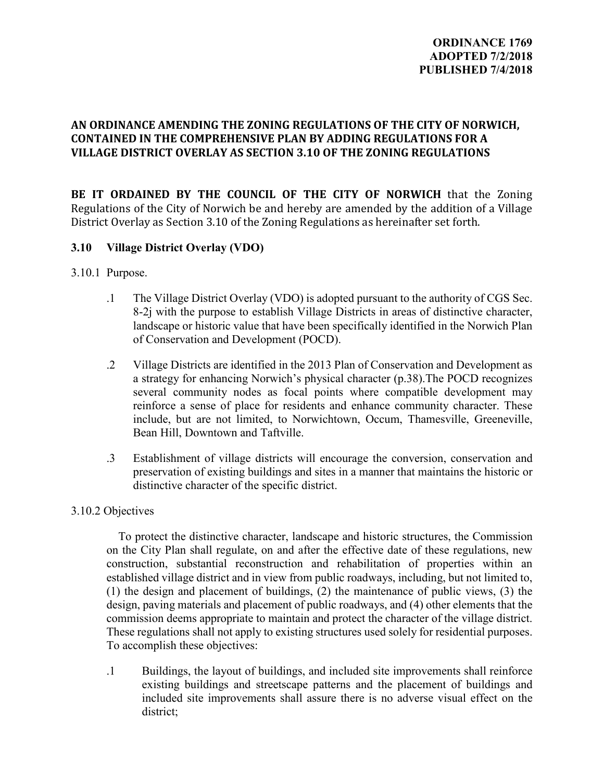# **AN ORDINANCE AMENDING THE ZONING REGULATIONS OF THE CITY OF NORWICH, CONTAINED IN THE COMPREHENSIVE PLAN BY ADDING REGULATIONS FOR A VILLAGE DISTRICT OVERLAY AS SECTION 3.10 OF THE ZONING REGULATIONS**

BE IT ORDAINED BY THE COUNCIL OF THE CITY OF NORWICH that the Zoning Regulations of the City of Norwich be and hereby are amended by the addition of a Village District Overlay as Section 3.10 of the Zoning Regulations as hereinafter set forth.

### **3.10 Village District Overlay (VDO)**

- 3.10.1 Purpose.
	- .1 The Village District Overlay (VDO) is adopted pursuant to the authority of CGS Sec. 8-2j with the purpose to establish Village Districts in areas of distinctive character, landscape or historic value that have been specifically identified in the Norwich Plan of Conservation and Development (POCD).
	- .2 Village Districts are identified in the 2013 Plan of Conservation and Development as a strategy for enhancing Norwich's physical character (p.38).The POCD recognizes several community nodes as focal points where compatible development may reinforce a sense of place for residents and enhance community character. These include, but are not limited, to Norwichtown, Occum, Thamesville, Greeneville, Bean Hill, Downtown and Taftville.
	- .3 Establishment of village districts will encourage the conversion, conservation and preservation of existing buildings and sites in a manner that maintains the historic or distinctive character of the specific district.

#### 3.10.2 Objectives

To protect the distinctive character, landscape and historic structures, the Commission on the City Plan shall regulate, on and after the effective date of these regulations, new construction, substantial reconstruction and rehabilitation of properties within an established village district and in view from public roadways, including, but not limited to, (1) the design and placement of buildings, (2) the maintenance of public views, (3) the design, paving materials and placement of public roadways, and (4) other elements that the commission deems appropriate to maintain and protect the character of the village district. These regulations shall not apply to existing structures used solely for residential purposes. To accomplish these objectives:

.1 Buildings, the layout of buildings, and included site improvements shall reinforce existing buildings and streetscape patterns and the placement of buildings and included site improvements shall assure there is no adverse visual effect on the district;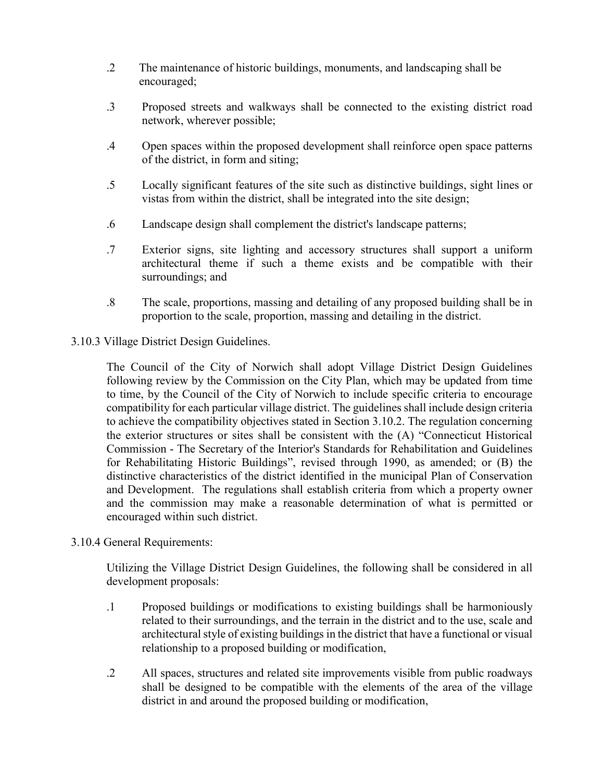- .2 The maintenance of historic buildings, monuments, and landscaping shall be encouraged;
- .3 Proposed streets and walkways shall be connected to the existing district road network, wherever possible;
- .4 Open spaces within the proposed development shall reinforce open space patterns of the district, in form and siting;
- .5 Locally significant features of the site such as distinctive buildings, sight lines or vistas from within the district, shall be integrated into the site design;
- .6 Landscape design shall complement the district's landscape patterns;
- .7 Exterior signs, site lighting and accessory structures shall support a uniform architectural theme if such a theme exists and be compatible with their surroundings; and
- .8 The scale, proportions, massing and detailing of any proposed building shall be in proportion to the scale, proportion, massing and detailing in the district.

### 3.10.3 Village District Design Guidelines.

The Council of the City of Norwich shall adopt Village District Design Guidelines following review by the Commission on the City Plan, which may be updated from time to time, by the Council of the City of Norwich to include specific criteria to encourage compatibility for each particular village district. The guidelines shall include design criteria to achieve the compatibility objectives stated in Section 3.10.2. The regulation concerning the exterior structures or sites shall be consistent with the (A) "Connecticut Historical Commission - The Secretary of the Interior's Standards for Rehabilitation and Guidelines for Rehabilitating Historic Buildings", revised through 1990, as amended; or (B) the distinctive characteristics of the district identified in the municipal Plan of Conservation and Development. The regulations shall establish criteria from which a property owner and the commission may make a reasonable determination of what is permitted or encouraged within such district.

#### 3.10.4 General Requirements:

Utilizing the Village District Design Guidelines, the following shall be considered in all development proposals:

- .1 Proposed buildings or modifications to existing buildings shall be harmoniously related to their surroundings, and the terrain in the district and to the use, scale and architectural style of existing buildings in the district that have a functional or visual relationship to a proposed building or modification,
- .2 All spaces, structures and related site improvements visible from public roadways shall be designed to be compatible with the elements of the area of the village district in and around the proposed building or modification,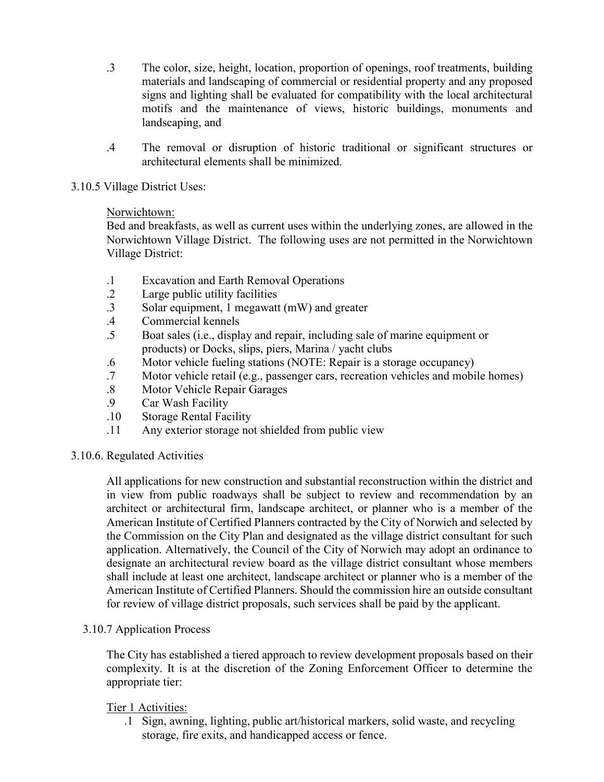- .3 The color, size, height, location, proportion of openings, roof treatments, building materials and landscaping of commercial or residential property and any proposed signs and lighting shall be evaluated for compatibility with the local architectural motifs and the maintenance of views, historic buildings, monuments and landscaping, and
- .4 The removal or disruption of historic traditional or significant structures or architectural elements shall be minimized.

### 3.10.5 Village District Uses:

### Norwichtown:

Bed and breakfasts, as well as current uses within the underlying zones, are allowed in the Norwichtown Village District. The following uses are not permitted in the Norwichtown Village District:

- .1 Excavation and Earth Removal Operations
- 2 Large public utility facilities<br>3 Solar equipment. 1 megawatt
- Solar equipment, 1 megawatt (mW) and greater
- .4 Commercial kennels
- .5 Boat sales (i.e., display and repair, including sale of marine equipment or products) or Docks, slips, piers, Marina / yacht clubs
- .6 Motor vehicle fueling stations (NOTE: Repair is a storage occupancy)<br>7 Motor vehicle retail (e.g., passenger cars, recreation vehicles and mobil
- Motor vehicle retail (e.g., passenger cars, recreation vehicles and mobile homes)
- .8 Motor Vehicle Repair Garages
- .9 Car Wash Facility
- .10 Storage Rental Facility
- .11 Any exterior storage not shielded from public view

# 3.10.6. Regulated Activities

All applications for new construction and substantial reconstruction within the district and in view from public roadways shall be subject to review and recommendation by an architect or architectural firm, landscape architect, or planner who is a member of the American Institute of Certified Planners contracted by the City of Norwich and selected by the Commission on the City Plan and designated as the village district consultant for such application. Alternatively, the Council of the City of Norwich may adopt an ordinance to designate an architectural review board as the village district consultant whose members shall include at least one architect, landscape architect or planner who is a member of the American Institute of Certified Planners. Should the commission hire an outside consultant for review of village district proposals, such services shall be paid by the applicant.

#### 3.10.7 Application Process

The City has established a tiered approach to review development proposals based on their complexity. It is at the discretion of the Zoning Enforcement Officer to determine the appropriate tier:

#### Tier 1 Activities:

.1 Sign, awning, lighting, public art/historical markers, solid waste, and recycling storage, fire exits, and handicapped access or fence.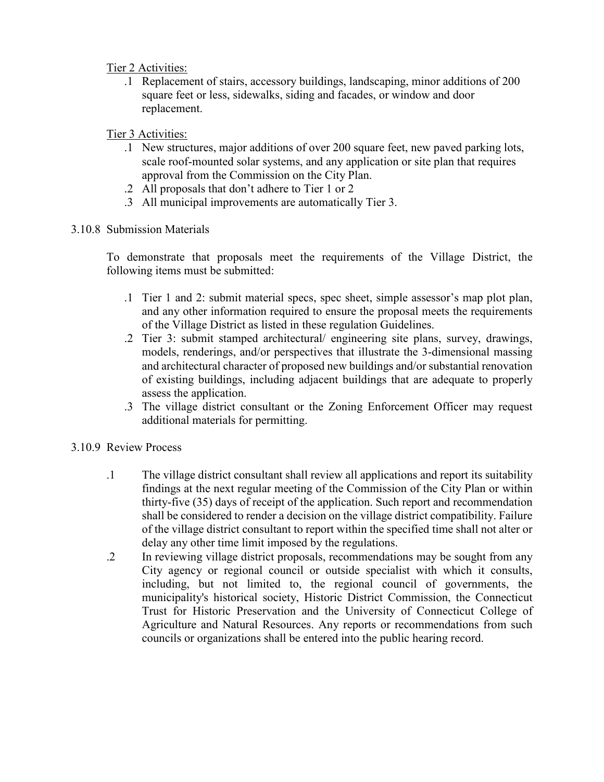Tier 2 Activities:

.1 Replacement of stairs, accessory buildings, landscaping, minor additions of 200 square feet or less, sidewalks, siding and facades, or window and door replacement.

# Tier 3 Activities:

- .1 New structures, major additions of over 200 square feet, new paved parking lots, scale roof-mounted solar systems, and any application or site plan that requires approval from the Commission on the City Plan.
- .2 All proposals that don't adhere to Tier 1 or 2
- .3 All municipal improvements are automatically Tier 3.
- 3.10.8 Submission Materials

To demonstrate that proposals meet the requirements of the Village District, the following items must be submitted:

- .1 Tier 1 and 2: submit material specs, spec sheet, simple assessor's map plot plan, and any other information required to ensure the proposal meets the requirements of the Village District as listed in these regulation Guidelines.
- .2 Tier 3: submit stamped architectural/ engineering site plans, survey, drawings, models, renderings, and/or perspectives that illustrate the 3-dimensional massing and architectural character of proposed new buildings and/or substantial renovation of existing buildings, including adjacent buildings that are adequate to properly assess the application.
- .3 The village district consultant or the Zoning Enforcement Officer may request additional materials for permitting.
- 3.10.9 Review Process
	- .1 The village district consultant shall review all applications and report its suitability findings at the next regular meeting of the Commission of the City Plan or within thirty-five (35) days of receipt of the application. Such report and recommendation shall be considered to render a decision on the village district compatibility. Failure of the village district consultant to report within the specified time shall not alter or delay any other time limit imposed by the regulations.
	- .2 In reviewing village district proposals, recommendations may be sought from any City agency or regional council or outside specialist with which it consults, including, but not limited to, the regional council of governments, the municipality's historical society, Historic District Commission, the Connecticut Trust for Historic Preservation and the University of Connecticut College of Agriculture and Natural Resources. Any reports or recommendations from such councils or organizations shall be entered into the public hearing record.